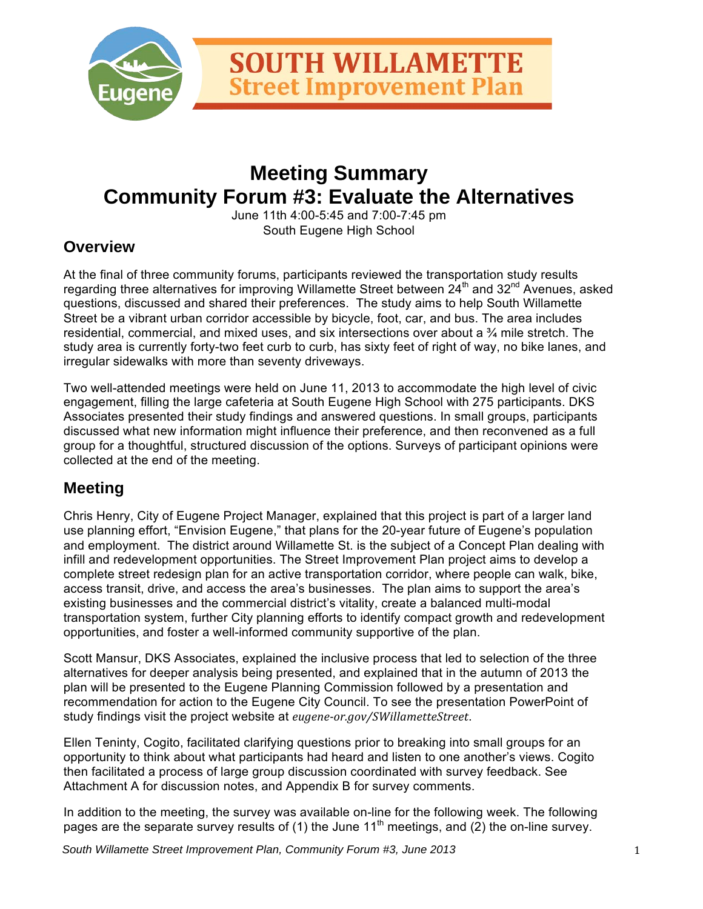

# **Meeting Summary Community Forum #3: Evaluate the Alternatives**

June 11th 4:00-5:45 and 7:00-7:45 pm South Eugene High School

## **Overview**

At the final of three community forums, participants reviewed the transportation study results regarding three alternatives for improving Willamette Street between  $24<sup>th</sup>$  and  $32<sup>nd</sup>$  Avenues, asked questions, discussed and shared their preferences. The study aims to help South Willamette Street be a vibrant urban corridor accessible by bicycle, foot, car, and bus. The area includes residential, commercial, and mixed uses, and six intersections over about a ¾ mile stretch. The study area is currently forty-two feet curb to curb, has sixty feet of right of way, no bike lanes, and irregular sidewalks with more than seventy driveways.

Two well-attended meetings were held on June 11, 2013 to accommodate the high level of civic engagement, filling the large cafeteria at South Eugene High School with 275 participants. DKS Associates presented their study findings and answered questions. In small groups, participants discussed what new information might influence their preference, and then reconvened as a full group for a thoughtful, structured discussion of the options. Surveys of participant opinions were collected at the end of the meeting.

## **Meeting**

Chris Henry, City of Eugene Project Manager, explained that this project is part of a larger land use planning effort, "Envision Eugene," that plans for the 20-year future of Eugene's population and employment. The district around Willamette St. is the subject of a Concept Plan dealing with infill and redevelopment opportunities. The Street Improvement Plan project aims to develop a complete street redesign plan for an active transportation corridor, where people can walk, bike, access transit, drive, and access the area's businesses. The plan aims to support the area's existing businesses and the commercial district's vitality, create a balanced multi-modal transportation system, further City planning efforts to identify compact growth and redevelopment opportunities, and foster a well-informed community supportive of the plan.

Scott Mansur, DKS Associates, explained the inclusive process that led to selection of the three alternatives for deeper analysis being presented, and explained that in the autumn of 2013 the plan will be presented to the Eugene Planning Commission followed by a presentation and recommendation for action to the Eugene City Council. To see the presentation PowerPoint of study findings visit the project website at *eugene-or.gov/SWillametteStreet*.

Ellen Teninty, Cogito, facilitated clarifying questions prior to breaking into small groups for an opportunity to think about what participants had heard and listen to one another's views. Cogito then facilitated a process of large group discussion coordinated with survey feedback. See Attachment A for discussion notes, and Appendix B for survey comments.

In addition to the meeting, the survey was available on-line for the following week. The following pages are the separate survey results of (1) the June 11<sup>th</sup> meetings, and (2) the on-line survey.

*South Willamette Street Improvement Plan, Community Forum #3, June 2013* 1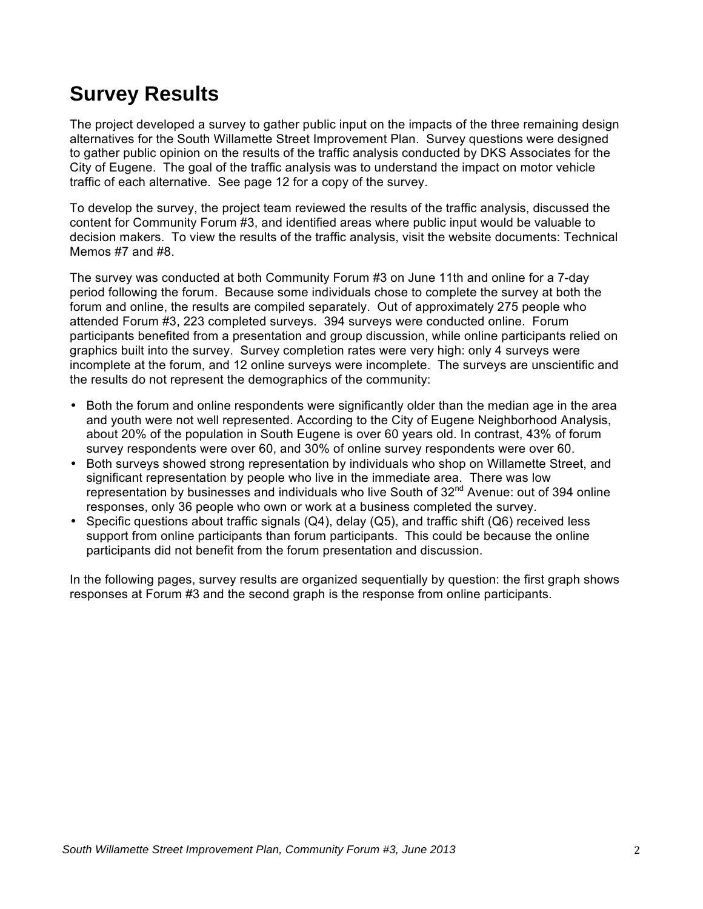# **Survey Results**

The project developed a survey to gather public input on the impacts of the three remaining design alternatives for the South Willamette Street Improvement Plan. Survey questions were designed to gather public opinion on the results of the traffic analysis conducted by DKS Associates for the City of Eugene. The goal of the traffic analysis was to understand the impact on motor vehicle traffic of each alternative. See page 12 for a copy of the survey.

To develop the survey, the project team reviewed the results of the traffic analysis, discussed the content for Community Forum #3, and identified areas where public input would be valuable to decision makers. To view the results of the traffic analysis, visit the website documents: Technical Memos #7 and #8.

The survey was conducted at both Community Forum #3 on June 11th and online for a 7-day period following the forum. Because some individuals chose to complete the survey at both the forum and online, the results are compiled separately. Out of approximately 275 people who attended Forum #3, 223 completed surveys. 394 surveys were conducted online. Forum participants benefited from a presentation and group discussion, while online participants relied on graphics built into the survey. Survey completion rates were very high: only 4 surveys were incomplete at the forum, and 12 online surveys were incomplete. The surveys are unscientific and the results do not represent the demographics of the community:

- Both the forum and online respondents were significantly older than the median age in the area and youth were not well represented. According to the City of Eugene Neighborhood Analysis, about 20% of the population in South Eugene is over 60 years old. In contrast, 43% of forum survey respondents were over 60, and 30% of online survey respondents were over 60.
- Both surveys showed strong representation by individuals who shop on Willamette Street, and significant representation by people who live in the immediate area. There was low representation by businesses and individuals who live South of  $32<sup>nd</sup>$  Avenue: out of 394 online responses, only 36 people who own or work at a business completed the survey.
- Specific questions about traffic signals (Q4), delay (Q5), and traffic shift (Q6) received less support from online participants than forum participants. This could be because the online participants did not benefit from the forum presentation and discussion.

In the following pages, survey results are organized sequentially by question: the first graph shows responses at Forum #3 and the second graph is the response from online participants.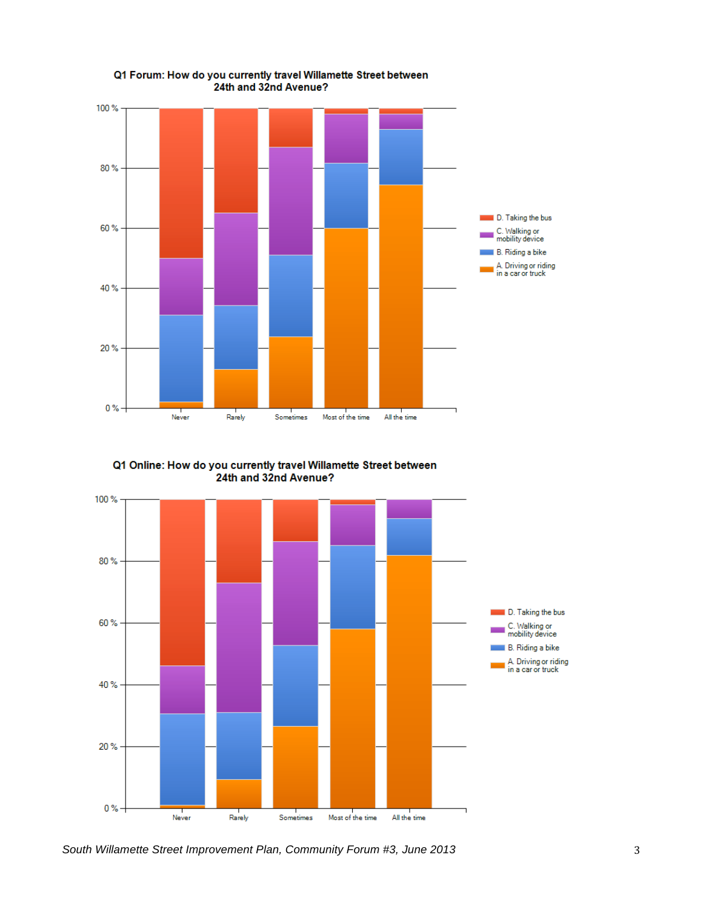

Q1 Online: How do you currently travel Willamette Street between 24th and 32nd Avenue?



*South Willamette Street Improvement Plan, Community Forum #3, June 2013* 3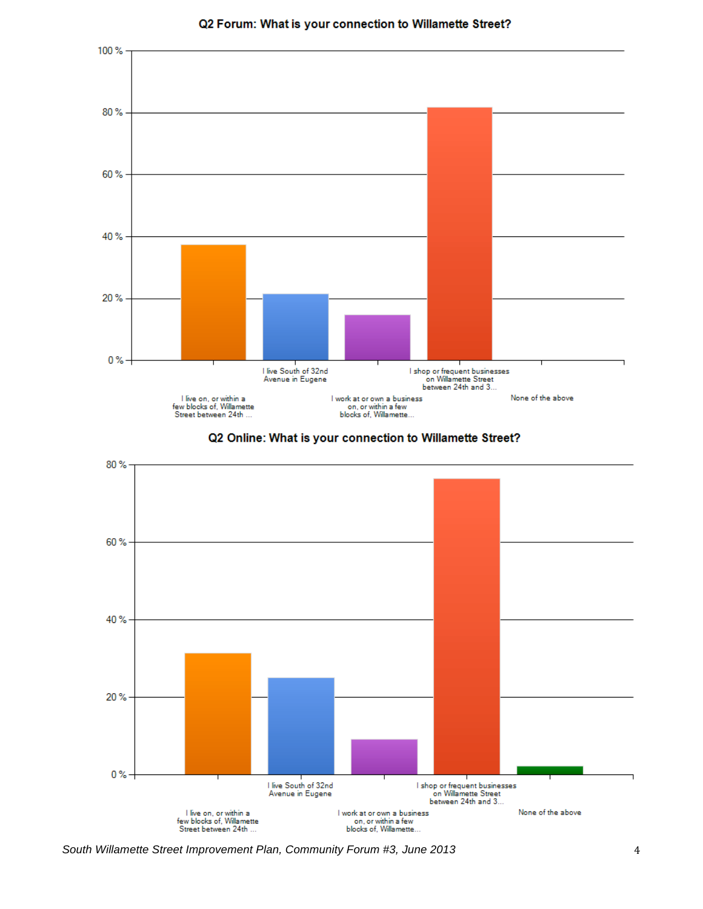

#### Q2 Forum: What is your connection to Willamette Street?





*South Willamette Street Improvement Plan, Community Forum #3, June 2013* 4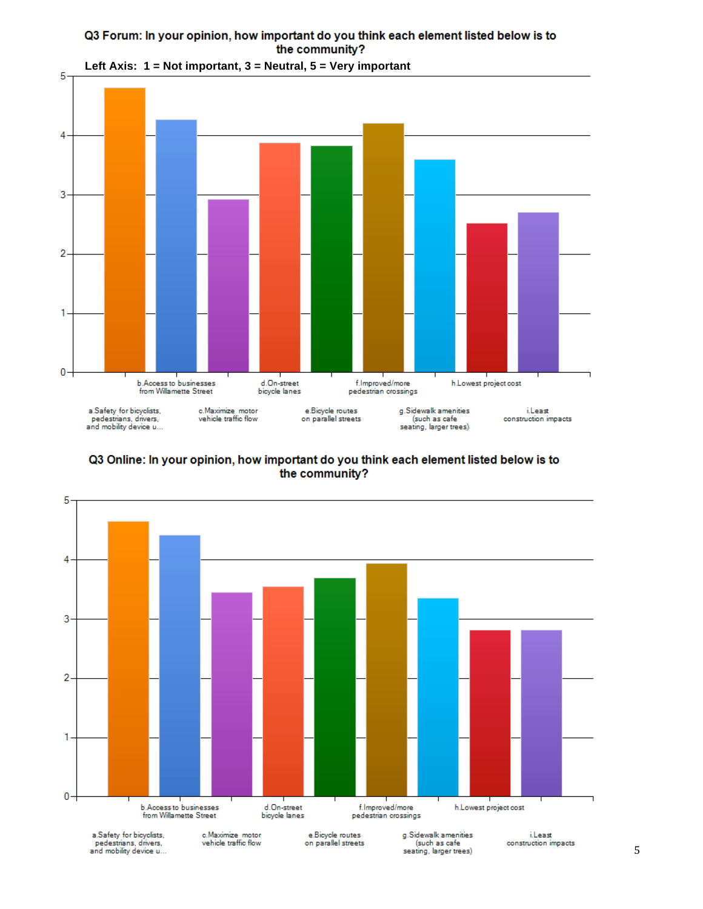### Q3 Forum: In your opinion, how important do you think each element listed below is to the community?



**Left Axis: 1 = Not important, 3 = Neutral, 5 = Very important**

Q3 Online: In your opinion, how important do you think each element listed below is to the community?

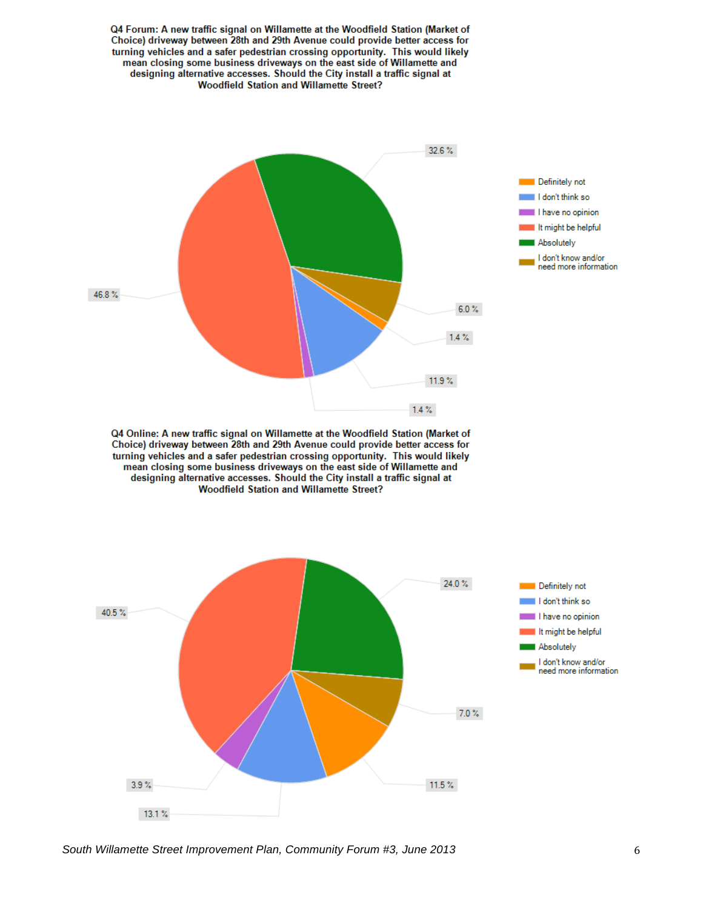

*South Willamette Street Improvement Plan, Community Forum #3, June 2013* 6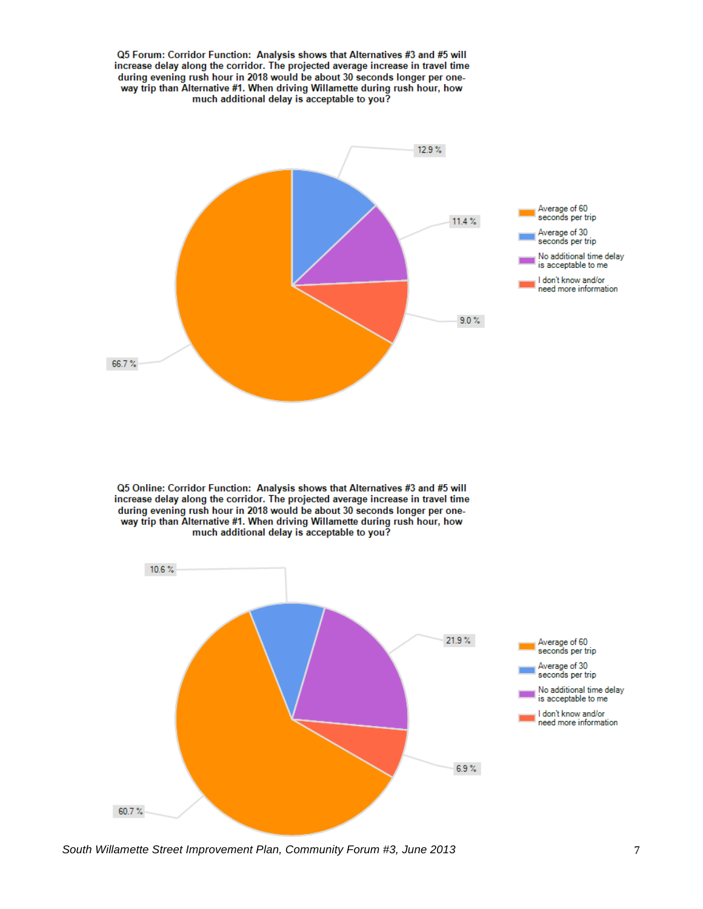

*South Willamette Street Improvement Plan, Community Forum #3, June 2013* 7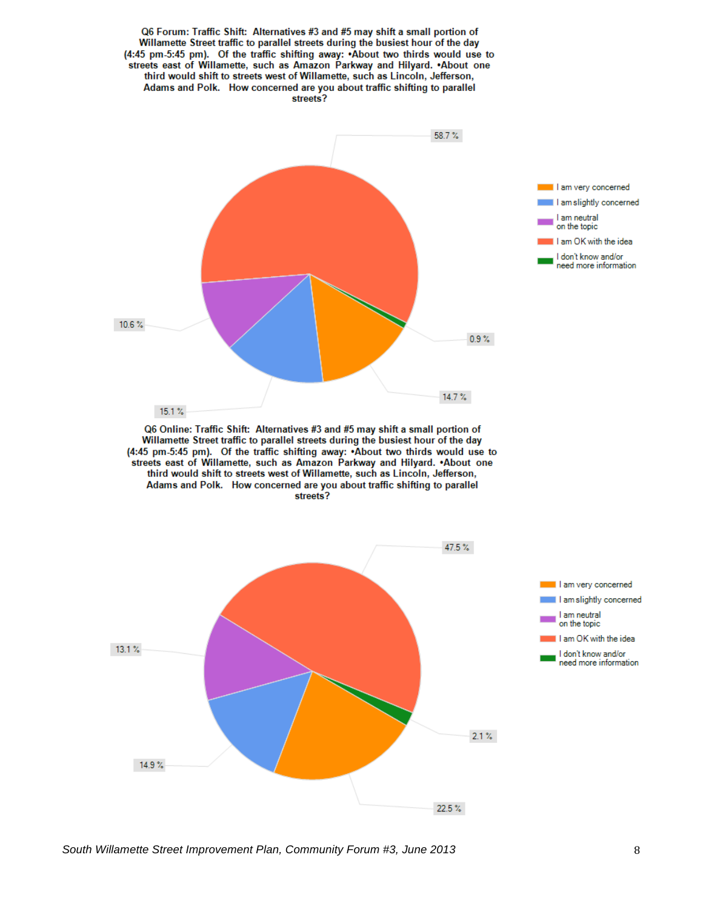

*South Willamette Street Improvement Plan, Community Forum #3, June 2013* 8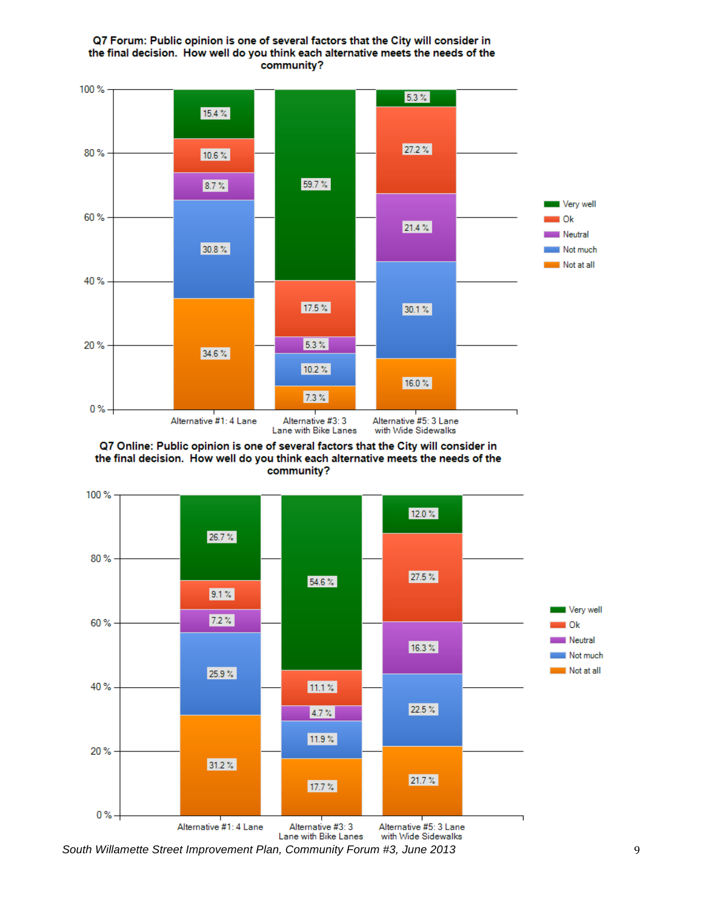



Q7 Online: Public opinion is one of several factors that the City will consider in the final decision. How well do you think each alternative meets the needs of the community?



*South Willamette Street Improvement Plan, Community Forum #3, June 2013* 9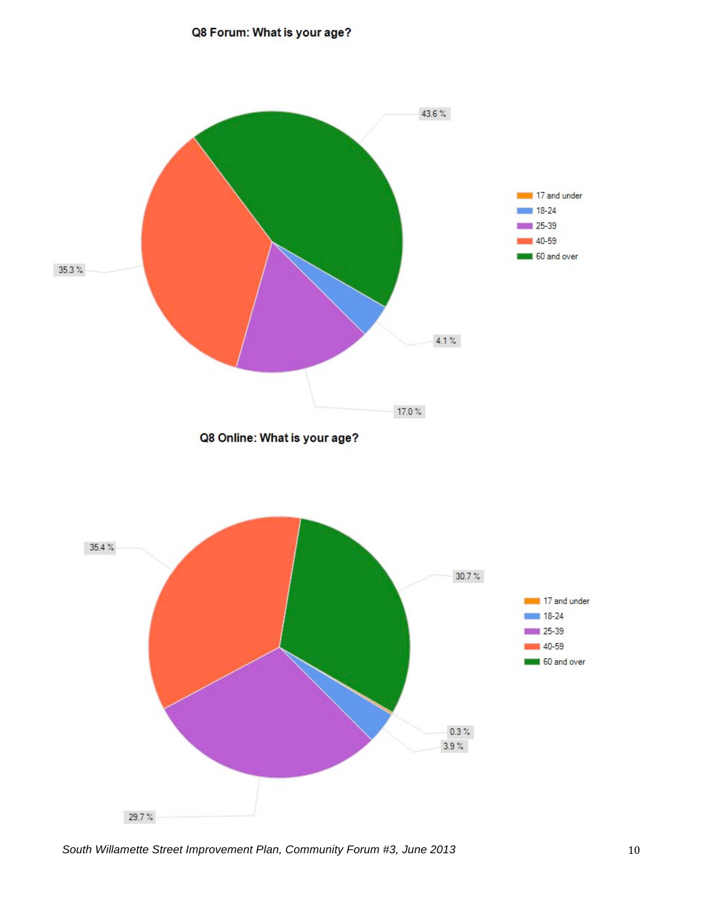### Q8 Forum: What is your age?



*South Willamette Street Improvement Plan, Community Forum #3, June 2013* 10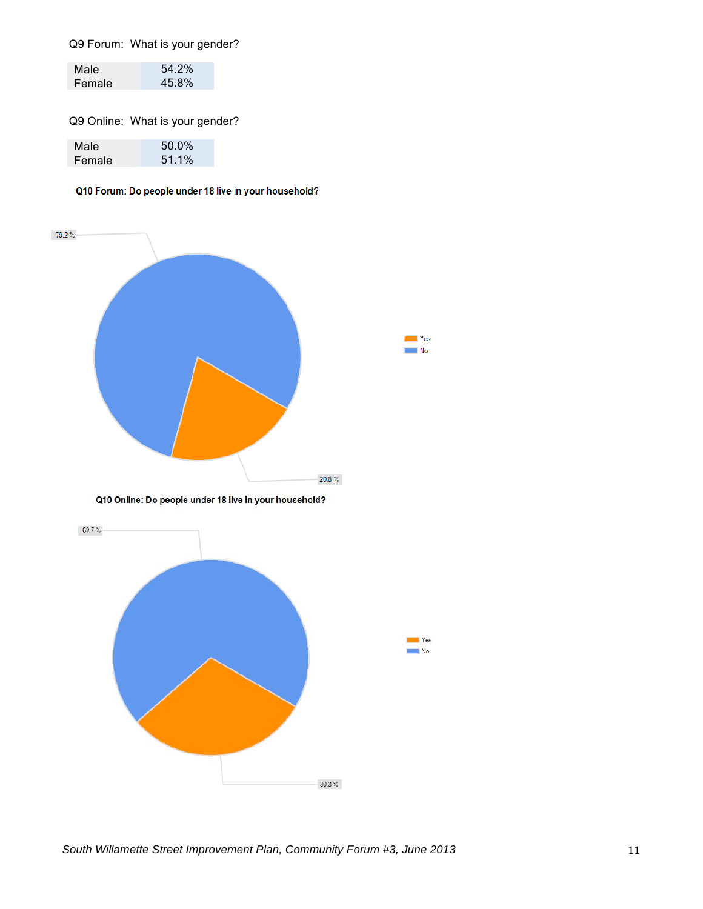Q9 Forum: What is your gender?

| Male   | 54.2% |
|--------|-------|
| Female | 45.8% |

Q9 Online: What is your gender?

| Male   | 50.0% |
|--------|-------|
| Female | 51.1% |

#### Q10 Forum: Do people under 18 live in your household?

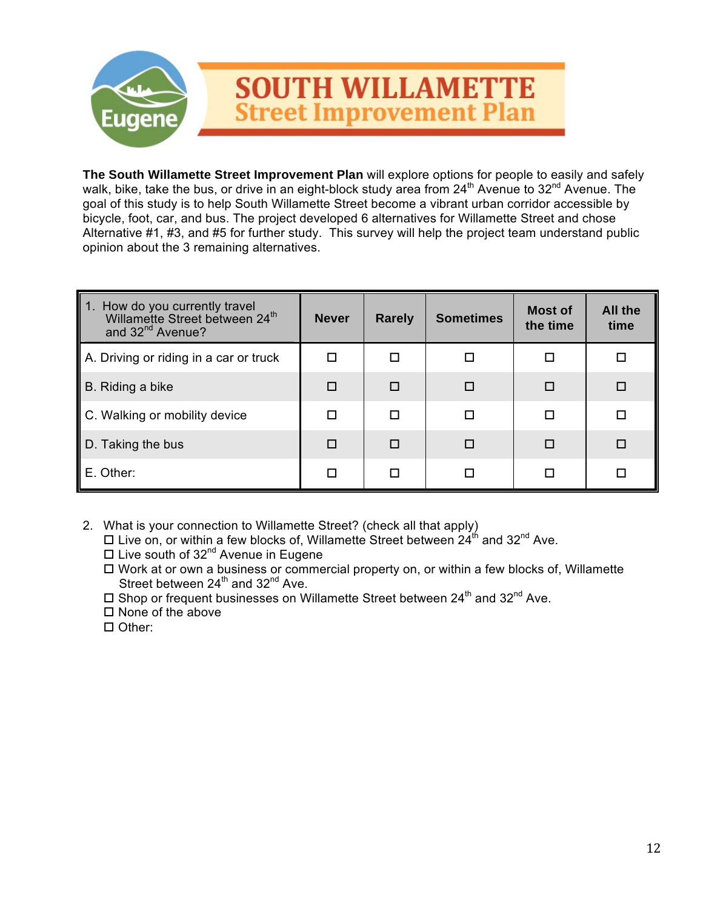

**The South Willamette Street Improvement Plan** will explore options for people to easily and safely walk, bike, take the bus, or drive in an eight-block study area from 24<sup>th</sup> Avenue to 32<sup>nd</sup> Avenue. The goal of this study is to help South Willamette Street become a vibrant urban corridor accessible by bicycle, foot, car, and bus. The project developed 6 alternatives for Willamette Street and chose Alternative #1, #3, and #5 for further study. This survey will help the project team understand public opinion about the 3 remaining alternatives.

| 1. How do you currently travel<br>Willamette Street between 24th<br>and 32 <sup>nd</sup> Avenue? | <b>Never</b> | <b>Sometimes</b><br><b>Rarely</b> |   | <b>Most of</b><br>the time | All the<br>time |
|--------------------------------------------------------------------------------------------------|--------------|-----------------------------------|---|----------------------------|-----------------|
| A. Driving or riding in a car or truck                                                           | п            | п                                 | П | П                          |                 |
| B. Riding a bike                                                                                 | $\Box$       | П                                 | П | П                          |                 |
| C. Walking or mobility device                                                                    | $\Box$       | п                                 | П | П                          | □               |
| D. Taking the bus                                                                                | $\Box$       | П                                 | П | П                          |                 |
| E. Other:                                                                                        | п            |                                   | П |                            |                 |

- 2. What is your connection to Willamette Street? (check all that apply)
	- Live on, or within a few blocks of, Willamette Street between  $24^{\text{th}}$  and  $32^{\text{nd}}$  Ave.
	- $\Box$  Live south of 32<sup>nd</sup> Avenue in Eugene
	- $\Box$  Work at or own a business or commercial property on, or within a few blocks of, Willamette Street between  $24<sup>th</sup>$  and  $32<sup>nd</sup>$  Ave.
	- $\square$  Shop or frequent businesses on Willamette Street between 24<sup>th</sup> and 32<sup>nd</sup> Ave.
	- $\square$  None of the above
	- □ Other: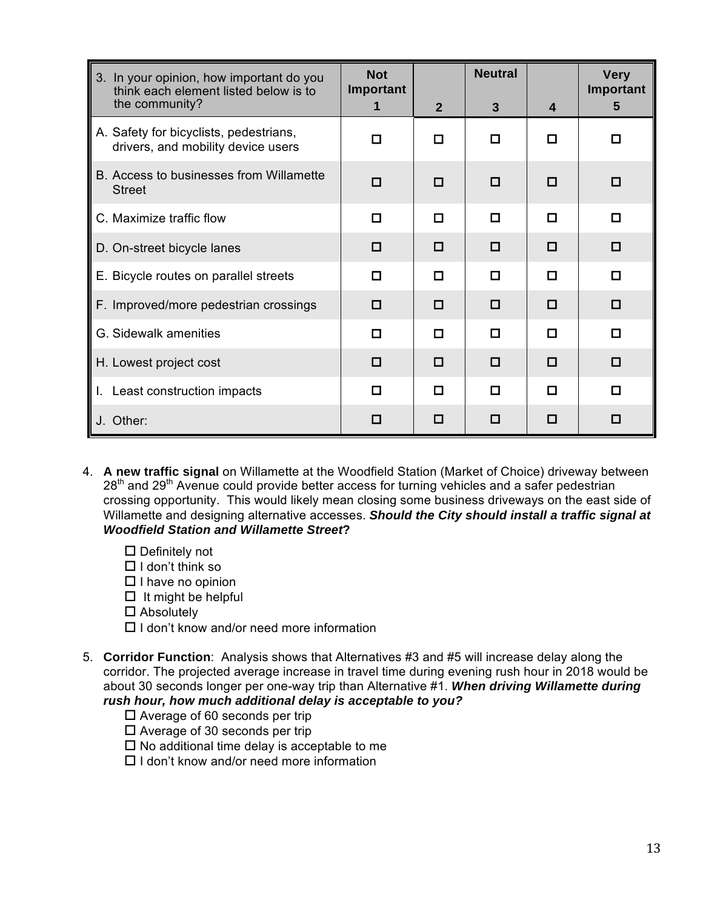| 3. In your opinion, how important do you<br>think each element listed below is to | <b>Not</b><br>Important |              | <b>Neutral</b> |   | <b>Very</b><br>Important |
|-----------------------------------------------------------------------------------|-------------------------|--------------|----------------|---|--------------------------|
| the community?                                                                    |                         | $\mathbf{2}$ | 3              | 4 | 5                        |
| A. Safety for bicyclists, pedestrians,<br>drivers, and mobility device users      | п                       | П            | п              | п | п                        |
| B. Access to businesses from Willamette<br><b>Street</b>                          | п                       | п            | п              | п | п                        |
| C. Maximize traffic flow                                                          | п                       | П            | п              | п | п                        |
| D. On-street bicycle lanes                                                        | □                       | □            | $\Box$         | п | 0                        |
| E. Bicycle routes on parallel streets                                             | п                       | П            | п              | п | п                        |
| F. Improved/more pedestrian crossings                                             | п                       | п            | П              | п | п                        |
| G. Sidewalk amenities                                                             | п                       | П            | п              | п | п                        |
| H. Lowest project cost                                                            | □                       | □            | □              | п | □                        |
| I. Least construction impacts                                                     | п                       | П            | п              | п | п                        |
| J. Other:                                                                         | □                       | П            | п              | п | п                        |

- 4. **A new traffic signal** on Willamette at the Woodfield Station (Market of Choice) driveway between  $28<sup>th</sup>$  and  $29<sup>th</sup>$  Avenue could provide better access for turning vehicles and a safer pedestrian crossing opportunity. This would likely mean closing some business driveways on the east side of Willamette and designing alternative accesses. *Should the City should install a traffic signal at Woodfield Station and Willamette Street***?** 
	- $\square$  Definitely not
	- $\Box$  I don't think so
	- $\Box$  I have no opinion
	- $\Box$  It might be helpful
	- □ Absolutely
	- $\Box$  I don't know and/or need more information
- 5. **Corridor Function**: Analysis shows that Alternatives #3 and #5 will increase delay along the corridor. The projected average increase in travel time during evening rush hour in 2018 would be about 30 seconds longer per one-way trip than Alternative #1. *When driving Willamette during rush hour, how much additional delay is acceptable to you?*
	- $\square$  Average of 60 seconds per trip
	- $\square$  Average of 30 seconds per trip
	- $\square$  No additional time delay is acceptable to me
	- $\Box$  I don't know and/or need more information